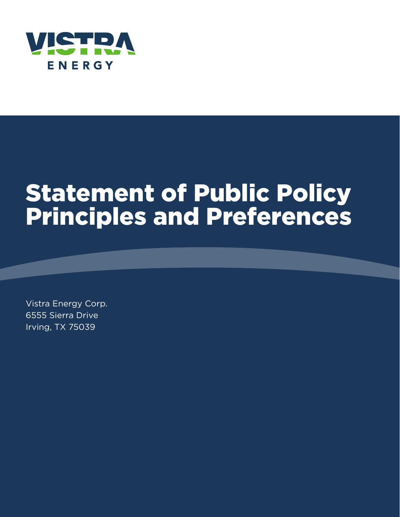

# Statement of Public Policy Principles and Preferences

Vistra Energy Corp. 6555 Sierra Drive Irving, TX 75039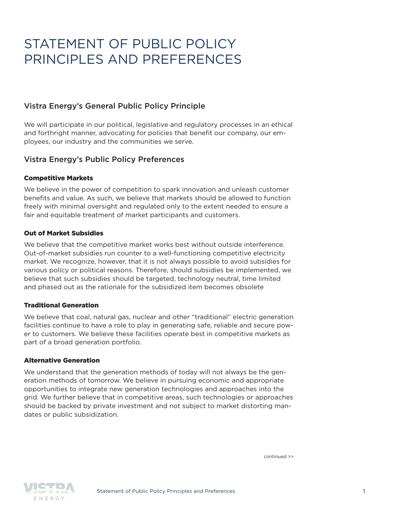# STATEMENT OF PUBLIC POLICY PRINCIPLES AND PREFERENCES

### Vistra Energy's General Public Policy Principle

We will participate in our political, legislative and regulatory processes in an ethical and forthright manner, advocating for policies that benefit our company, our employees, our industry and the communities we serve.

### Vistra Energy's Public Policy Preferences

#### Competitive Markets

We believe in the power of competition to spark innovation and unleash customer benefits and value. As such, we believe that markets should be allowed to function freely with minimal oversight and regulated only to the extent needed to ensure a fair and equitable treatment of market participants and customers.

#### Out of Market Subsidies

We believe that the competitive market works best without outside interference. Out-of-market subsidies run counter to a well-functioning competitive electricity market. We recognize, however, that it is not always possible to avoid subsidies for various policy or political reasons. Therefore, should subsidies be implemented, we believe that such subsidies should be targeted, technology neutral, time limited and phased out as the rationale for the subsidized item becomes obsolete

#### Traditional Generation

We believe that coal, natural gas, nuclear and other "traditional" electric generation facilities continue to have a role to play in generating safe, reliable and secure power to customers. We believe these facilities operate best in competitive markets as part of a broad generation portfolio.

#### Alternative Generation

We understand that the generation methods of today will not always be the generation methods of tomorrow. We believe in pursuing economic and appropriate opportunities to integrate new generation technologies and approaches into the grid. We further believe that in competitive areas, such technologies or approaches should be backed by private investment and not subject to market distorting mandates or public subsidization.

continued >>